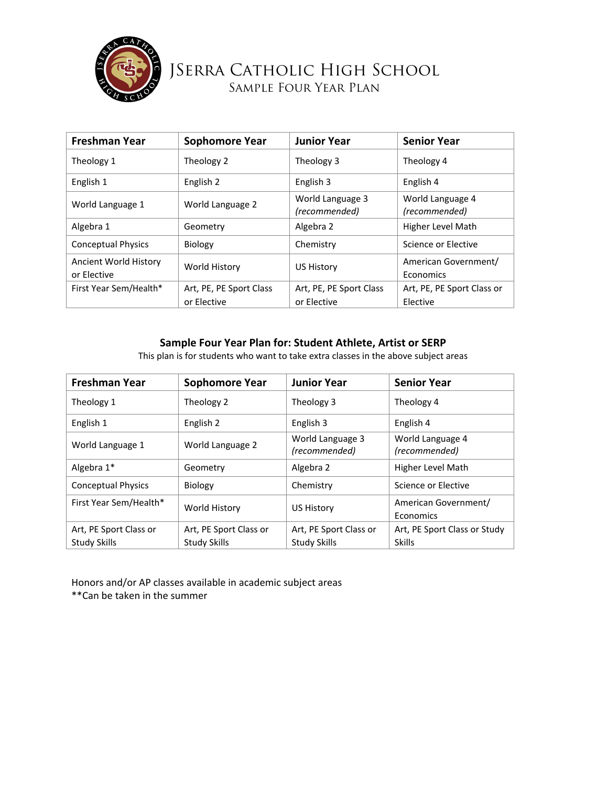

## JSerra Catholic High School Sample Four Year Plan

| <b>Freshman Year</b>                 | <b>Sophomore Year</b>                  | <b>Junior Year</b>                     | <b>Senior Year</b>                     |
|--------------------------------------|----------------------------------------|----------------------------------------|----------------------------------------|
| Theology 1                           | Theology 2                             | Theology 3                             | Theology 4                             |
| English 1                            | English 2                              | English 3                              | English 4                              |
| World Language 1                     | World Language 2                       | World Language 3<br>(recommended)      | World Language 4<br>(recommended)      |
| Algebra 1                            | Geometry                               | Algebra 2                              | Higher Level Math                      |
| <b>Conceptual Physics</b>            | <b>Biology</b>                         | Chemistry                              | Science or Elective                    |
| Ancient World History<br>or Elective | World History                          | US History                             | American Government/<br>Economics      |
| First Year Sem/Health*               | Art, PE, PE Sport Class<br>or Elective | Art, PE, PE Sport Class<br>or Elective | Art, PE, PE Sport Class or<br>Elective |

## **Sample Four Year Plan for: Student Athlete, Artist or SERP**

This plan is for students who want to take extra classes in the above subject areas

| Freshman Year             | <b>Sophomore Year</b>  | <b>Junior Year</b>                | <b>Senior Year</b>                |
|---------------------------|------------------------|-----------------------------------|-----------------------------------|
| Theology 1                | Theology 2             | Theology 3                        | Theology 4                        |
| English 1                 | English 2              | English 3                         | English 4                         |
| World Language 1          | World Language 2       | World Language 3<br>(recommended) | World Language 4<br>(recommended) |
| Algebra 1*                | Geometry               | Algebra 2                         | Higher Level Math                 |
| <b>Conceptual Physics</b> | <b>Biology</b>         | Chemistry                         | Science or Elective               |
| First Year Sem/Health*    | World History          | US History                        | American Government/<br>Economics |
| Art, PE Sport Class or    | Art, PE Sport Class or | Art, PE Sport Class or            | Art, PE Sport Class or Study      |
| <b>Study Skills</b>       | <b>Study Skills</b>    | <b>Study Skills</b>               | <b>Skills</b>                     |

Honors and/or AP classes available in academic subject areas \*\*Can be taken in the summer